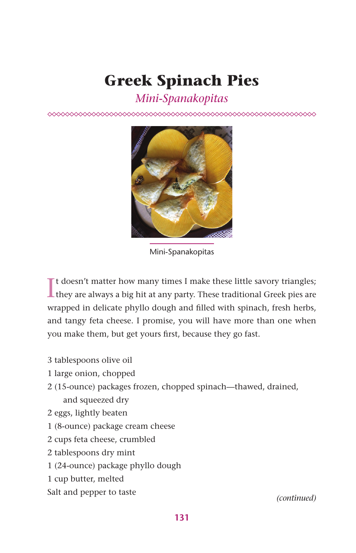## **Greek Spinach Pies**

## *Mini-Spanakopitas*



Mini-Spanakopitas

 $\prod$ t doesn't matter how many times I make these little savory triangles; they are always a big hit at any party. These traditional Greek pies are If doesn't matter how many times I make these little savory triangles; wrapped in delicate phyllo dough and filled with spinach, fresh herbs, and tangy feta cheese. I promise, you will have more than one when you make them, but get yours first, because they go fast.

- 3 tablespoons olive oil
- 1 large onion, chopped
- 2 (15-ounce) packages frozen, chopped spinach—thawed, drained, and squeezed dry
- 2 eggs, lightly beaten
- 1 (8-ounce) package cream cheese
- 2 cups feta cheese, crumbled
- 2 tablespoons dry mint
- 1 (24-ounce) package phyllo dough
- 1 cup butter, melted
- Salt and pepper to taste

*(continued)*